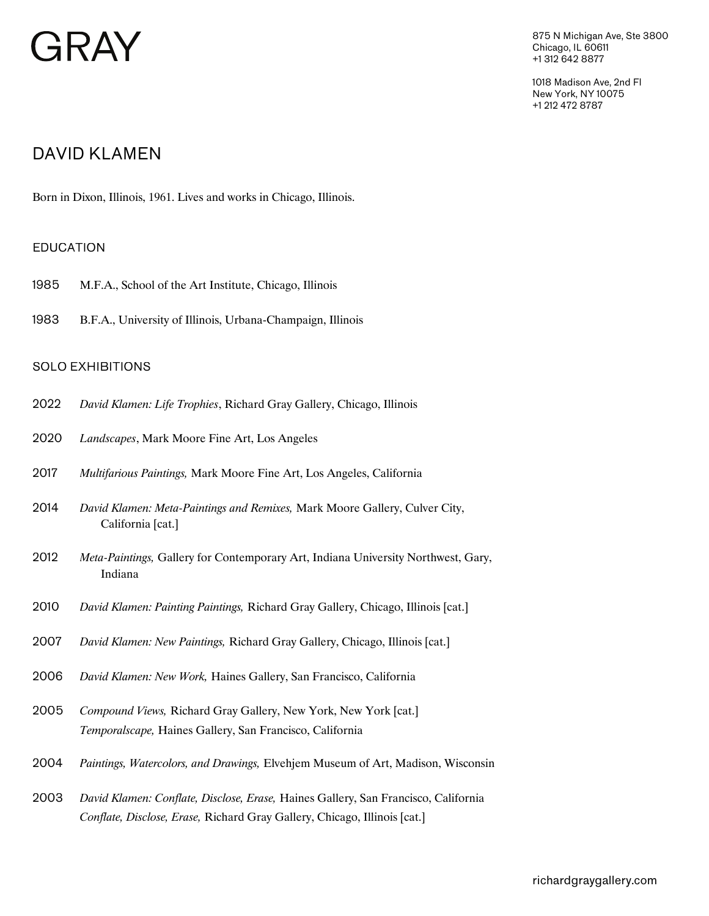# GRAY

875 N Michigan Ave, Ste 3800 Chicago, IL 60611 +1 312 642 8877

1018 Madison Ave, 2nd Fl New York, NY 10075 +1 212 472 8787

# DAVID KLAMEN

Born in Dixon, Illinois, 1961. Lives and works in Chicago, Illinois.

# EDUCATION

- 1985 M.F.A., School of the Art Institute, Chicago, Illinois
- 1983 B.F.A., University of Illinois, Urbana-Champaign, Illinois

### SOLO EXHIBITIONS

- 2022 *David Klamen: Life Trophies*, Richard Gray Gallery, Chicago, Illinois
- 2020 *Landscapes*, Mark Moore Fine Art, Los Angeles
- 2017 *Multifarious Paintings,* Mark Moore Fine Art, Los Angeles, California
- *David Klamen: Meta-Paintings and Remixes,* Mark Moore Gallery, Culver City, California [cat.] 2014
- *Meta-Paintings,* Gallery for Contemporary Art, Indiana University Northwest, Gary, Indiana 2012
- 2010 *David Klamen: Painting Paintings,* Richard Gray Gallery, Chicago, Illinois [cat.]
- 2007 *David Klamen: New Paintings,* Richard Gray Gallery, Chicago, Illinois [cat.]
- 2006 *David Klamen: New Work,* Haines Gallery, San Francisco, California
- 2005 *Compound Views,* Richard Gray Gallery, New York, New York [cat.] *Temporalscape,* Haines Gallery, San Francisco, California
- 2004 *Paintings, Watercolors, and Drawings,* Elvehjem Museum of Art, Madison, Wisconsin
- 2003 *David Klamen: Conflate, Disclose, Erase,* Haines Gallery, San Francisco, California *Conflate, Disclose, Erase,* Richard Gray Gallery, Chicago, Illinois [cat.]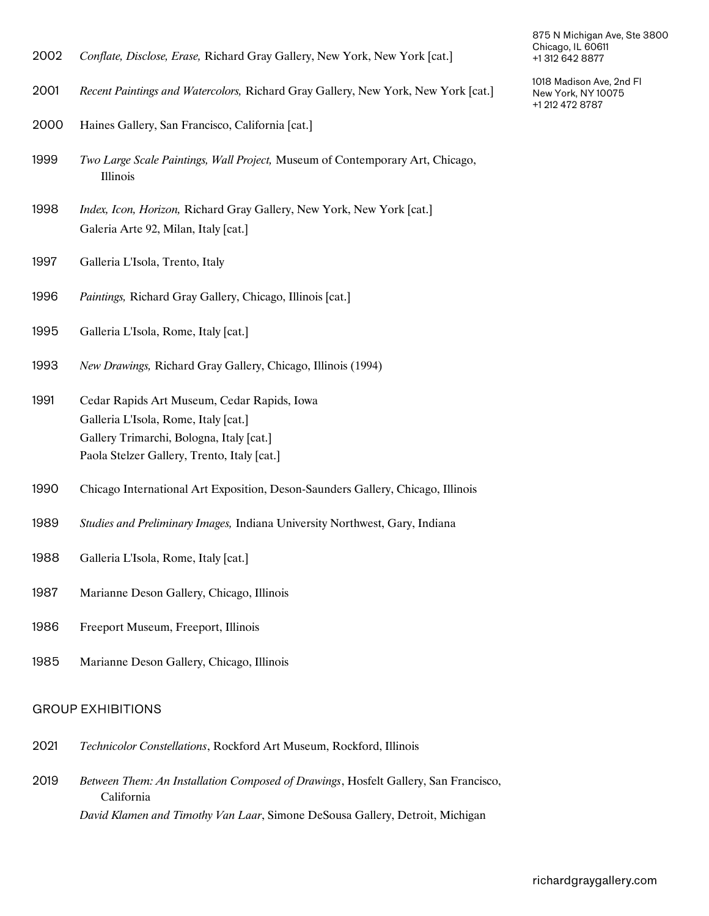- 2002 *Conflate, Disclose, Erase,* Richard Gray Gallery, New York, New York [cat.]
- 2001 *Recent Paintings and Watercolors,* Richard Gray Gallery, New York, New York [cat.]
- 2000 Haines Gallery, San Francisco, California [cat.]
- *Two Large Scale Paintings, Wall Project,* Museum of Contemporary Art, Chicago, Illinois 1999
- 1998 *Index, Icon, Horizon,* Richard Gray Gallery, New York, New York [cat.] Galeria Arte 92, Milan, Italy [cat.]
- 1997 Galleria L'Isola, Trento, Italy
- 1996 *Paintings,* Richard Gray Gallery, Chicago, Illinois [cat.]
- 1995 Galleria L'Isola, Rome, Italy [cat.]
- 1993 *New Drawings,* Richard Gray Gallery, Chicago, Illinois (1994)
- 1991 Cedar Rapids Art Museum, Cedar Rapids, Iowa Galleria L'Isola, Rome, Italy [cat.] Gallery Trimarchi, Bologna, Italy [cat.] Paola Stelzer Gallery, Trento, Italy [cat.]
- 1990 Chicago International Art Exposition, Deson-Saunders Gallery, Chicago, Illinois
- 1989 *Studies and Preliminary Images,* Indiana University Northwest, Gary, Indiana
- 1988 Galleria L'Isola, Rome, Italy [cat.]
- 1987 Marianne Deson Gallery, Chicago, Illinois
- 1986 Freeport Museum, Freeport, Illinois
- 1985 Marianne Deson Gallery, Chicago, Illinois

#### GROUP EXHIBITIONS

- 2021 *Technicolor Constellations*, Rockford Art Museum, Rockford, Illinois
- *Between Them: An Installation Composed of Drawings*, Hosfelt Gallery, San Francisco, California 2019 *David Klamen and Timothy Van Laar*, Simone DeSousa Gallery, Detroit, Michigan

875 N Michigan Ave, Ste 3800 Chicago, IL 60611 +1 312 642 8877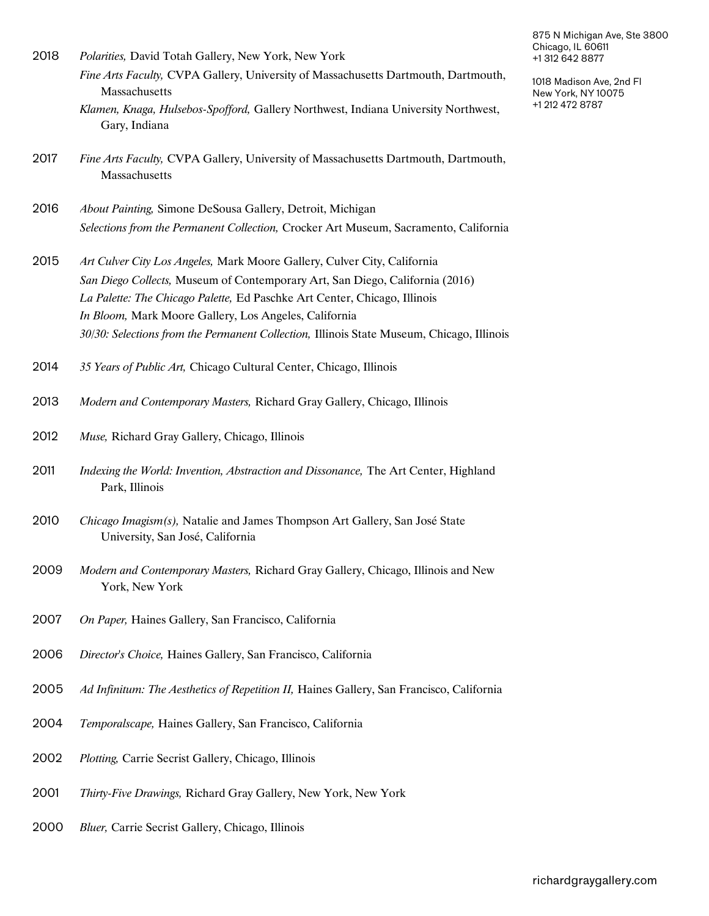| 2018 | <i>Polarities</i> , David Totah Gallery, New York, New York                        |
|------|------------------------------------------------------------------------------------|
|      | Fine Arts Faculty, CVPA Gallery, University of Massachusetts Dartmouth, Dartmouth, |
|      | Massachusetts                                                                      |
|      | Klamen, Knaga, Hulsebos-Spofford, Gallery Northwest, Indiana University Northwest, |
|      | Gary, Indiana                                                                      |

- *Fine Arts Faculty,* CVPA Gallery, University of Massachusetts Dartmouth, Dartmouth, Massachusetts 2017
- 2016 *About Painting,* Simone DeSousa Gallery, Detroit, Michigan *Selections from the Permanent Collection,* Crocker Art Museum, Sacramento, California
- 2015 *Art Culver City Los Angeles,* Mark Moore Gallery, Culver City, California *San Diego Collects,* Museum of Contemporary Art, San Diego, California (2016) *La Palette: The Chicago Palette,* Ed Paschke Art Center, Chicago, Illinois *In Bloom,* Mark Moore Gallery, Los Angeles, California *30/30: Selections from the Permanent Collection,* Illinois State Museum, Chicago, Illinois
- 2014 *35 Years of Public Art,* Chicago Cultural Center, Chicago, Illinois
- 2013 *Modern and Contemporary Masters,* Richard Gray Gallery, Chicago, Illinois
- 2012 *Muse,* Richard Gray Gallery, Chicago, Illinois
- *Indexing the World: Invention, Abstraction and Dissonance,* The Art Center, Highland Park, Illinois 2011
- *Chicago Imagism(s),* Natalie and James Thompson Art Gallery, San José State University, San José, California 2010
- *Modern and Contemporary Masters,* Richard Gray Gallery, Chicago, Illinois and New York, New York 2009
- 2007 *On Paper,* Haines Gallery, San Francisco, California
- 2006 *Director's Choice,* Haines Gallery, San Francisco, California
- 2005 *Ad Infinitum: The Aesthetics of Repetition II,* Haines Gallery, San Francisco, California
- 2004 *Temporalscape,* Haines Gallery, San Francisco, California
- 2002 *Plotting,* Carrie Secrist Gallery, Chicago, Illinois
- 2001 *Thirty-Five Drawings,* Richard Gray Gallery, New York, New York
- 2000 *Bluer,* Carrie Secrist Gallery, Chicago, Illinois

875 N Michigan Ave, Ste 3800 Chicago, IL 60611 +1 312 642 8877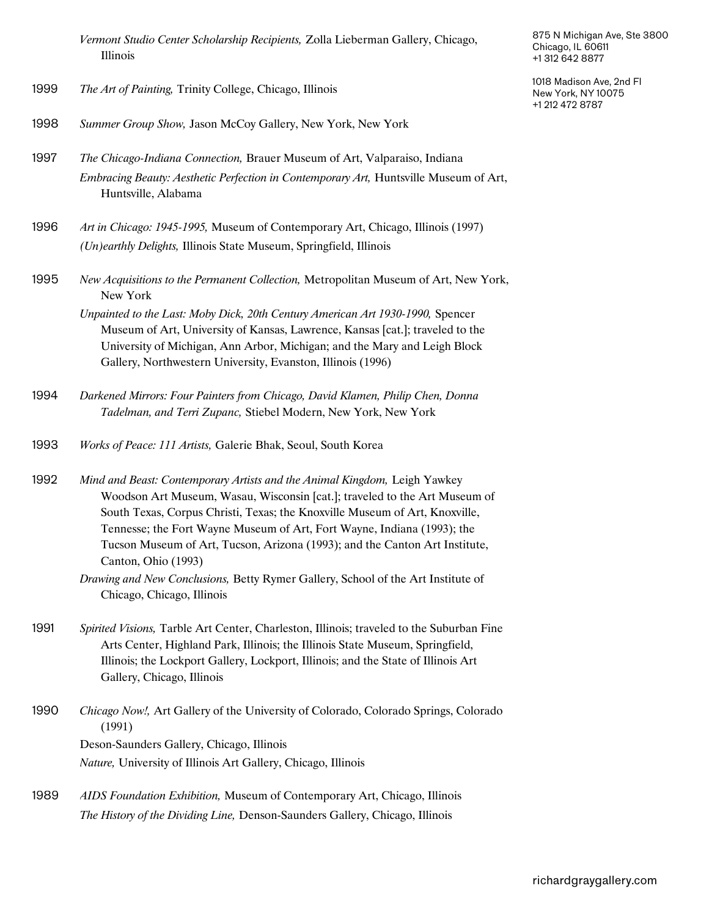*Vermont Studio Center Scholarship Recipients,* Zolla Lieberman Gallery, Chicago, Illinois

- 1999 *The Art of Painting,* Trinity College, Chicago, Illinois
- 1998 *Summer Group Show,* Jason McCoy Gallery, New York, New York
- 1997 *The Chicago-Indiana Connection,* Brauer Museum of Art, Valparaiso, Indiana *Embracing Beauty: Aesthetic Perfection in Contemporary Art, Huntsville Museum of Art,* Huntsville, Alabama
- 1996 *Art in Chicago: 1945-1995,* Museum of Contemporary Art, Chicago, Illinois (1997) *(Un)earthly Delights,* Illinois State Museum, Springfield, Illinois
- *New Acquisitions to the Permanent Collection,* Metropolitan Museum of Art, New York, New York 1995
	- *Unpainted to the Last: Moby Dick, 20th Century American Art 1930-1990,* Spencer Museum of Art, University of Kansas, Lawrence, Kansas [cat.]; traveled to the University of Michigan, Ann Arbor, Michigan; and the Mary and Leigh Block Gallery, Northwestern University, Evanston, Illinois (1996)
- *Darkened Mirrors: Four Painters from Chicago, David Klamen, Philip Chen, Donna Tadelman, and Terri Zupanc,* Stiebel Modern, New York, New York 1994
- 1993 *Works of Peace: 111 Artists,* Galerie Bhak, Seoul, South Korea
- *Mind and Beast: Contemporary Artists and the Animal Kingdom,* Leigh Yawkey Woodson Art Museum, Wasau, Wisconsin [cat.]; traveled to the Art Museum of South Texas, Corpus Christi, Texas; the Knoxville Museum of Art, Knoxville, Tennesse; the Fort Wayne Museum of Art, Fort Wayne, Indiana (1993); the Tucson Museum of Art, Tucson, Arizona (1993); and the Canton Art Institute, Canton, Ohio (1993) 1992
	- *Drawing and New Conclusions,* Betty Rymer Gallery, School of the Art Institute of Chicago, Chicago, Illinois
- *Spirited Visions,* Tarble Art Center, Charleston, Illinois; traveled to the Suburban Fine Arts Center, Highland Park, Illinois; the Illinois State Museum, Springfield, Illinois; the Lockport Gallery, Lockport, Illinois; and the State of Illinois Art Gallery, Chicago, Illinois 1991
- *Chicago Now!,* Art Gallery of the University of Colorado, Colorado Springs, Colorado (1991) 1990 Deson-Saunders Gallery, Chicago, Illinois *Nature,* University of Illinois Art Gallery, Chicago, Illinois
- 1989 *AIDS Foundation Exhibition,* Museum of Contemporary Art, Chicago, Illinois *The History of the Dividing Line,* Denson-Saunders Gallery, Chicago, Illinois

875 N Michigan Ave, Ste 3800 Chicago, IL 60611 +1 312 642 8877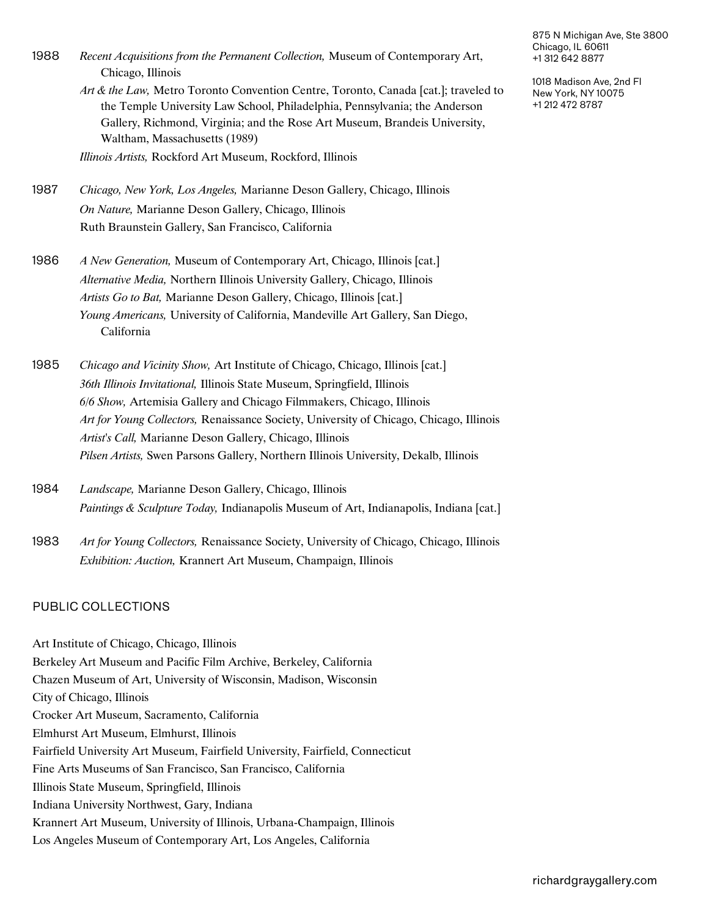*Recent Acquisitions from the Permanent Collection,* Museum of Contemporary Art, Chicago, Illinois 1988 *Art & the Law,* Metro Toronto Convention Centre, Toronto, Canada [cat.]; traveled to the Temple University Law School, Philadelphia, Pennsylvania; the Anderson Gallery, Richmond, Virginia; and the Rose Art Museum, Brandeis University,

Waltham, Massachusetts (1989)

*Illinois Artists,* Rockford Art Museum, Rockford, Illinois

- 1987 *Chicago, New York, Los Angeles,* Marianne Deson Gallery, Chicago, Illinois *On Nature,* Marianne Deson Gallery, Chicago, Illinois Ruth Braunstein Gallery, San Francisco, California
- 1986 *A New Generation,* Museum of Contemporary Art, Chicago, Illinois [cat.] *Alternative Media,* Northern Illinois University Gallery, Chicago, Illinois *Artists Go to Bat,* Marianne Deson Gallery, Chicago, Illinois [cat.] *Young Americans,* University of California, Mandeville Art Gallery, San Diego, California
- 1985 *Chicago and Vicinity Show,* Art Institute of Chicago, Chicago, Illinois [cat.] *36th Illinois Invitational,* Illinois State Museum, Springfield, Illinois *6/6 Show,* Artemisia Gallery and Chicago Filmmakers, Chicago, Illinois *Art for Young Collectors,* Renaissance Society, University of Chicago, Chicago, Illinois *Artist's Call,* Marianne Deson Gallery, Chicago, Illinois *Pilsen Artists,* Swen Parsons Gallery, Northern Illinois University, Dekalb, Illinois
- 1984 *Landscape,* Marianne Deson Gallery, Chicago, Illinois *Paintings & Sculpture Today,* Indianapolis Museum of Art, Indianapolis, Indiana [cat.]
- 1983 *Art for Young Collectors,* Renaissance Society, University of Chicago, Chicago, Illinois *Exhibition: Auction,* Krannert Art Museum, Champaign, Illinois

#### PUBLIC COLLECTIONS

Art Institute of Chicago, Chicago, Illinois Berkeley Art Museum and Pacific Film Archive, Berkeley, California Chazen Museum of Art, University of Wisconsin, Madison, Wisconsin City of Chicago, Illinois Crocker Art Museum, Sacramento, California Elmhurst Art Museum, Elmhurst, Illinois Fairfield University Art Museum, Fairfield University, Fairfield, Connecticut Fine Arts Museums of San Francisco, San Francisco, California Illinois State Museum, Springfield, Illinois Indiana University Northwest, Gary, Indiana Krannert Art Museum, University of Illinois, Urbana-Champaign, Illinois Los Angeles Museum of Contemporary Art, Los Angeles, California

875 N Michigan Ave, Ste 3800 Chicago, IL 60611 +1 312 642 8877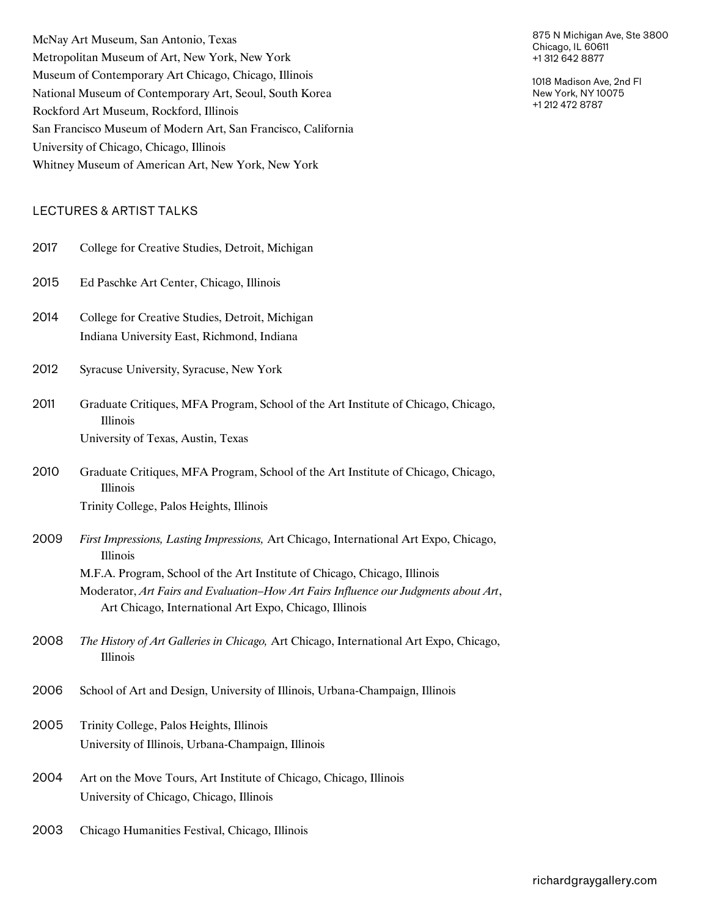McNay Art Museum, San Antonio, Texas Metropolitan Museum of Art, New York, New York Museum of Contemporary Art Chicago, Chicago, Illinois National Museum of Contemporary Art, Seoul, South Korea Rockford Art Museum, Rockford, Illinois San Francisco Museum of Modern Art, San Francisco, California University of Chicago, Chicago, Illinois Whitney Museum of American Art, New York, New York

# LECTURES & ARTIST TALKS

| 2017 | College for Creative Studies, Detroit, Michigan                                                                                                |
|------|------------------------------------------------------------------------------------------------------------------------------------------------|
| 2015 | Ed Paschke Art Center, Chicago, Illinois                                                                                                       |
| 2014 | College for Creative Studies, Detroit, Michigan<br>Indiana University East, Richmond, Indiana                                                  |
| 2012 | Syracuse University, Syracuse, New York                                                                                                        |
| 2011 | Graduate Critiques, MFA Program, School of the Art Institute of Chicago, Chicago,<br>Illinois                                                  |
|      | University of Texas, Austin, Texas                                                                                                             |
| 2010 | Graduate Critiques, MFA Program, School of the Art Institute of Chicago, Chicago,<br>Illinois                                                  |
|      | Trinity College, Palos Heights, Illinois                                                                                                       |
| 2009 | First Impressions, Lasting Impressions, Art Chicago, International Art Expo, Chicago,<br>Illinois                                              |
|      | M.F.A. Program, School of the Art Institute of Chicago, Chicago, Illinois                                                                      |
|      | Moderator, Art Fairs and Evaluation-How Art Fairs Influence our Judgments about Art,<br>Art Chicago, International Art Expo, Chicago, Illinois |
| 2008 | The History of Art Galleries in Chicago, Art Chicago, International Art Expo, Chicago,<br>Illinois                                             |
| 2006 | School of Art and Design, University of Illinois, Urbana-Champaign, Illinois                                                                   |
| 2005 | Trinity College, Palos Heights, Illinois                                                                                                       |
|      | University of Illinois, Urbana-Champaign, Illinois                                                                                             |
| 2004 | Art on the Move Tours, Art Institute of Chicago, Chicago, Illinois<br>University of Chicago, Chicago, Illinois                                 |
| 2003 | Chicago Humanities Festival, Chicago, Illinois                                                                                                 |

875 N Michigan Ave, Ste 3800 Chicago, IL 60611 +1 312 642 8877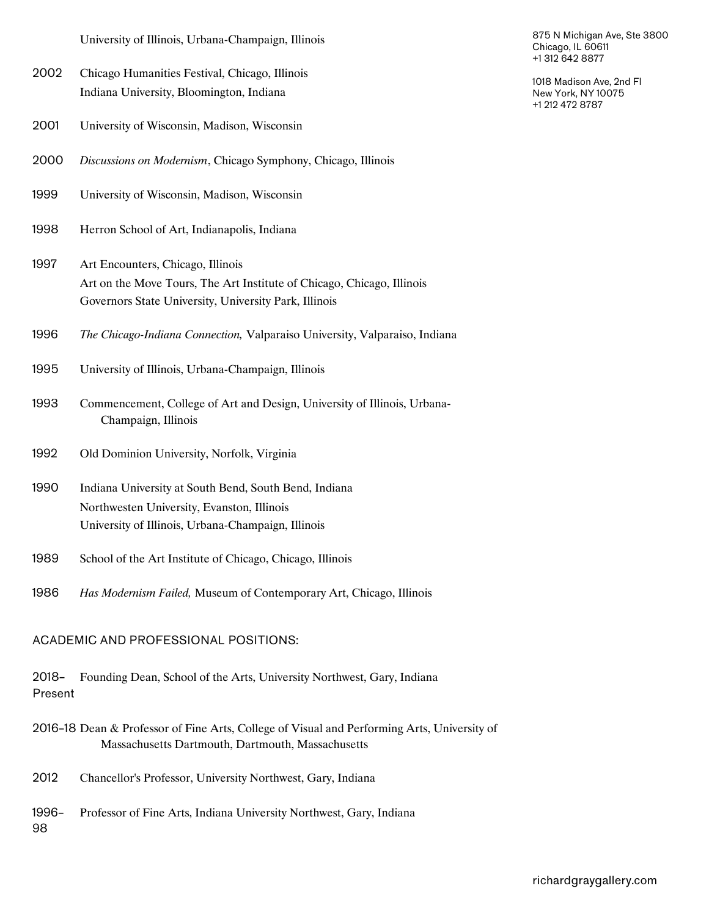University of Illinois, Urbana-Champaign, Illinois

- 2002 Chicago Humanities Festival, Chicago, Illinois Indiana University, Bloomington, Indiana
- 2001 University of Wisconsin, Madison, Wisconsin
- 2000 *Discussions on Modernism*, Chicago Symphony, Chicago, Illinois
- 1999 University of Wisconsin, Madison, Wisconsin
- 1998 Herron School of Art, Indianapolis, Indiana
- 1997 Art Encounters, Chicago, Illinois Art on the Move Tours, The Art Institute of Chicago, Chicago, Illinois Governors State University, University Park, Illinois
- 1996 *The Chicago-Indiana Connection,* Valparaiso University, Valparaiso, Indiana
- 1995 University of Illinois, Urbana-Champaign, Illinois
- Commencement, College of Art and Design, University of Illinois, Urbana-Champaign, Illinois 1993
- 1992 Old Dominion University, Norfolk, Virginia
- 1990 Indiana University at South Bend, South Bend, Indiana Northwesten University, Evanston, Illinois University of Illinois, Urbana-Champaign, Illinois
- 1989 School of the Art Institute of Chicago, Chicago, Illinois
- 1986 *Has Modernism Failed,* Museum of Contemporary Art, Chicago, Illinois

# ACADEMIC AND PROFESSIONAL POSITIONS:

- 2018– Founding Dean, School of the Arts, University Northwest, Gary, Indiana Present
- 2016–18 Dean & Professor of Fine Arts, College of Visual and Performing Arts, University of Massachusetts Dartmouth, Dartmouth, Massachusetts
- 2012 Chancellor's Professor, University Northwest, Gary, Indiana
- 1996– Professor of Fine Arts, Indiana University Northwest, Gary, Indiana 98

875 N Michigan Ave, Ste 3800 Chicago, IL 60611 +1 312 642 8877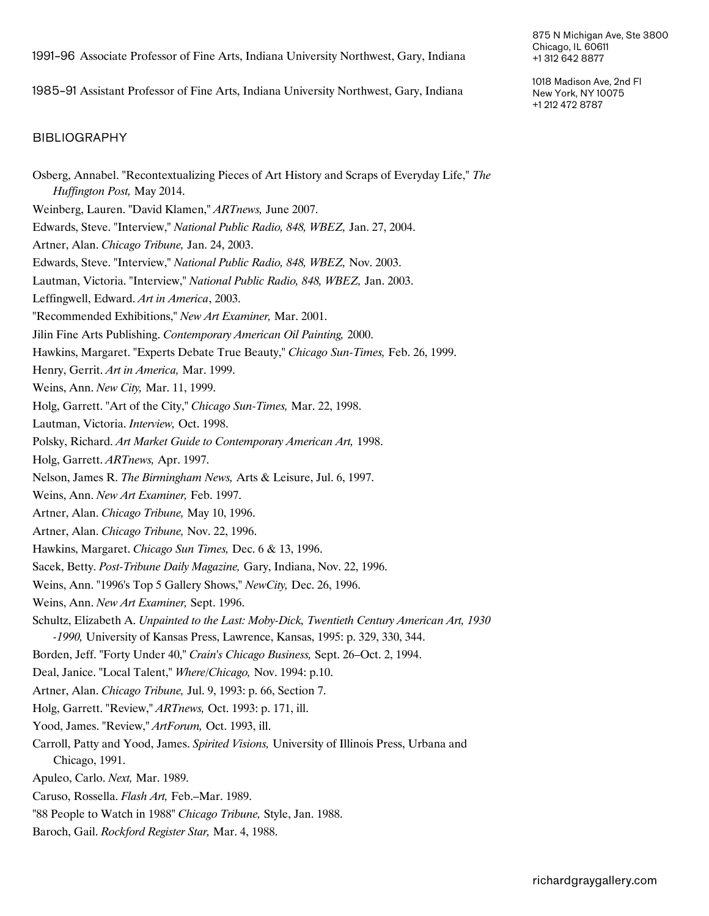1991–96 Associate Professor of Fine Arts, Indiana University Northwest, Gary, Indiana

1985–91 Assistant Professor of Fine Arts, Indiana University Northwest, Gary, Indiana

#### BIBLIOGRAPHY

- Osberg, Annabel. "Recontextualizing Pieces of Art History and Scraps of Everyday Life," *The Huffington Post,* May 2014.
- Weinberg, Lauren. "David Klamen," *ARTnews,* June 2007.
- Edwards, Steve. "Interview," *National Public Radio, 848, WBEZ,* Jan. 27, 2004.
- Artner, Alan. *Chicago Tribune,* Jan. 24, 2003.
- Edwards, Steve. "Interview," *National Public Radio, 848, WBEZ,* Nov. 2003.
- Lautman, Victoria. "Interview," *National Public Radio, 848, WBEZ,* Jan. 2003.
- Leffingwell, Edward. *Art in America*, 2003.
- "Recommended Exhibitions," *New Art Examiner,* Mar. 2001.
- Jilin Fine Arts Publishing. *Contemporary American Oil Painting,* 2000.
- Hawkins, Margaret. "Experts Debate True Beauty," *Chicago Sun-Times,* Feb. 26, 1999.
- Henry, Gerrit. *Art in America,* Mar. 1999.
- Weins, Ann. *New City,* Mar. 11, 1999.
- Holg, Garrett. "Art of the City," *Chicago Sun-Times,* Mar. 22, 1998.
- Lautman, Victoria. *Interview,* Oct. 1998.
- Polsky, Richard. *Art Market Guide to Contemporary American Art,* 1998.
- Holg, Garrett. *ARTnews,* Apr. 1997.
- Nelson, James R. *The Birmingham News,* Arts & Leisure, Jul. 6, 1997.
- Weins, Ann. *New Art Examiner,* Feb. 1997.
- Artner, Alan. *Chicago Tribune,* May 10, 1996.
- Artner, Alan. *Chicago Tribune,* Nov. 22, 1996.
- Hawkins, Margaret. *Chicago Sun Times,* Dec. 6 & 13, 1996.
- Sacek, Betty. *Post-Tribune Daily Magazine,* Gary, Indiana, Nov. 22, 1996.
- Weins, Ann. "1996's Top 5 Gallery Shows," *NewCity,* Dec. 26, 1996.
- Weins, Ann. *New Art Examiner,* Sept. 1996.
- Schultz, Elizabeth A. *Unpainted to the Last: Moby-Dick, Twentieth Century American Art, 1930 -1990,* University of Kansas Press, Lawrence, Kansas, 1995: p. 329, 330, 344.
- Borden, Jeff. "Forty Under 40," *Crain's Chicago Business,* Sept. 26–Oct. 2, 1994.
- Deal, Janice. "Local Talent," *Where/Chicago,* Nov. 1994: p.10.
- Artner, Alan. *Chicago Tribune,* Jul. 9, 1993: p. 66, Section 7.
- Holg, Garrett. "Review," *ARTnews,* Oct. 1993: p. 171, ill.
- Yood, James. "Review," *ArtForum,* Oct. 1993, ill.
- Carroll, Patty and Yood, James. *Spirited Visions,* University of Illinois Press, Urbana and Chicago, 1991.
- Apuleo, Carlo. *Next,* Mar. 1989.
- Caruso, Rossella. *Flash Art,* Feb.–Mar. 1989.
- "88 People to Watch in 1988" *Chicago Tribune,* Style, Jan. 1988.
- Baroch, Gail. *Rockford Register Star,* Mar. 4, 1988.

875 N Michigan Ave, Ste 3800 Chicago, IL 60611 +1 312 642 8877